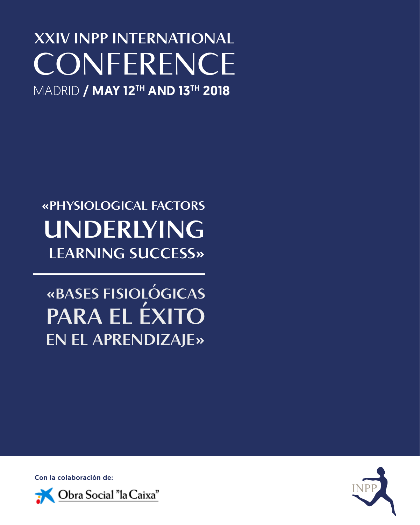### **XXIV INPP INTERNATIONAL CONFERENCE MADRID / MAY 12TH AND 13TH 2018**

### **«PHYSIOLOGICAL FACTORS UNDERLYING LEARNING SUCCESS»**

**«BASES FISIOLÓGICAS PARA EL ÉXITO EN EL APRENDIZAJE»**

Con la colaboración de:



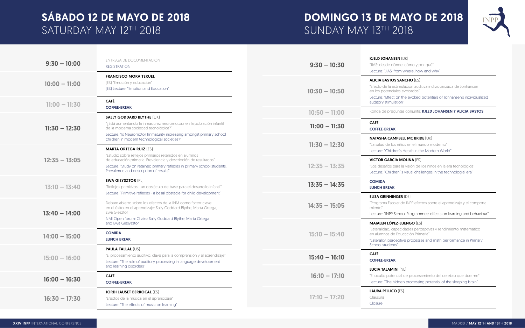### SÁBADO 12 DE MAYO DE 2018 SATURDAY MAY 12TH 2018

### DOMINGO 13 DE MAYO DE 2018 SUNDAY MAY 13TH 2018

| $9:30 - 10:00$  | ENTREGA DE DOCUMENTACIÓN<br><b>REGISTRATION</b>                                                                                                                                                                                                                                  | $9:30 - 10:30$  | <b>KJELD JOHANSEN [DK]</b><br>"JIAS: desde dónde, cómo y j<br>Lecture: "JIAS: from where, ho                                       |
|-----------------|----------------------------------------------------------------------------------------------------------------------------------------------------------------------------------------------------------------------------------------------------------------------------------|-----------------|------------------------------------------------------------------------------------------------------------------------------------|
| $10:00 - 11:00$ | <b>FRANCISCO MORA TERUEL</b><br>[ES] "Emoción y educación"<br>[ES] Lecture: "Emotion and Education"                                                                                                                                                                              | $10:30 - 10:50$ | <b>ALICIA BASTOS SANCHO [ES</b><br>"Efecto de la estimulación au<br>en los potenciales evocados'<br>Lecture: "Effect on the evoked |
| $11:00 - 11:30$ | <b>CAFÉ</b><br><b>COFFEE-BREAK</b>                                                                                                                                                                                                                                               |                 | auditory stimulation"                                                                                                              |
|                 | <b>SALLY GODDARD BLYTHE [UK]</b>                                                                                                                                                                                                                                                 | $10:50 - 11:00$ | Ronda de preguntas conjunta                                                                                                        |
| $11:30 - 12:30$ | "¿Está aumentando la inmadurez neuromotora en la población infantil<br>de la moderna sociedad tecnológica?"                                                                                                                                                                      | $11:00 - 11:30$ | <b>CAFÉ</b><br><b>COFFEE-BREAK</b>                                                                                                 |
|                 | Lecture: "Is Neuromotor Immaturity increasing amongst primary school<br>children in modern technological societies?"                                                                                                                                                             |                 | <b>NATASHA CAMPBELL MC BRI</b>                                                                                                     |
| $12:35 - 13:05$ | <b>MARTA ORTEGA RUIZ [ES]</b><br>"Estudio sobre reflejos primarios retenidos en alumnos<br>de educación primaria. Prevalencia y descripción de resultados"<br>Lecture: "Study on retained primary reflexes in primary school students.<br>Prevalence and description of results" | $11:30 - 12:30$ | "La salud de los niños en el m<br>Lecture: "Children's Health in t                                                                 |
|                 |                                                                                                                                                                                                                                                                                  |                 | <b>VICTOR GARCÍA MOLINA [ES</b>                                                                                                    |
|                 |                                                                                                                                                                                                                                                                                  | $12:35 - 13:35$ | "Los desafíos para la visión de<br>Lecture: "Children's visual cha                                                                 |
| $13:10 - 13:40$ | <b>EWA GIEYSZTOR [PL]</b><br>"Reflejos primitivos - un obstáculo de base para el desarrollo infantil"                                                                                                                                                                            | $13:35 - 14:35$ | <b>COMIDA</b><br><b>LUNCH BREAK</b>                                                                                                |
| $13:40 - 14:00$ | Lecture: "Primitive reflexes - a basal obstacle for child development"<br>Debate abierto sobre los efectos de la INM como factor clave<br>en el éxito en el aprendizaje: Sally Goddard Blythe, Marta Ortega,<br>Ewa Giesztor                                                     | $14:35 - 15:05$ | <b>ELISA GRINNINGER [DE]</b><br>"Programa Escolar de INPP efe<br>miento"<br>Lecture: "INPP School Progran                          |
|                 | NMI Open forum: Chairs: Sally Goddard Blythe, Marta Ortega<br>and Ewa Giesyzstor                                                                                                                                                                                                 |                 | <b>MAIALEN LÓPEZ-LUENGO (E)</b>                                                                                                    |
| $14:00 - 15:00$ | <b>COMIDA</b><br><b>LUNCH BREAK</b>                                                                                                                                                                                                                                              | $15:10 - 15:40$ | "Lateralidad, capacidades per<br>en alumnos de Educación Pri<br>"Laterality, perceptive proces:                                    |
| $15:00 - 16:00$ | <b>PAULA TALLAL [US]</b><br>"El procesamiento auditivo: clave para la comprensión y el aprendizaje"<br>Lecture: "The role of auditory processing in language development                                                                                                         |                 | School students"                                                                                                                   |
|                 |                                                                                                                                                                                                                                                                                  | $15:40 - 16:10$ | <b>CAFÉ</b><br><b>COFFEE-BREAK</b>                                                                                                 |
| $16:00 - 16:30$ | and learning disorders"<br><b>CAFÉ</b><br><b>COFFEE-BREAK</b>                                                                                                                                                                                                                    | $16:10 - 17:10$ | <b>LUCIA TALAMINI (NL)</b><br>"El oculto potencial de proce<br>Lecture: "The hidden process                                        |
| $16:30 - 17:30$ | <b>JORDI JAUSET BERROCAL [ES]</b><br>"Efectos de la música en el aprendizaje"<br>Lecture: "The effects of music on learning"                                                                                                                                                     | $17:10 - 17:20$ | <b>LAURA PELLICO [ES]</b><br>Clausura<br>Closure                                                                                   |



y por qué"

how and why"

(ES)

auditiva individualizada de Jonhansen

ked potentials of Jonhansen's individualized

#### Inta: KJLED JOHANSEN Y ALICIA BASTOS

#### **BRIDE** (UK)

I mundo moderno"

in the Modern World"

 $[ES]$ 

de los niños en la era tecnológica"

challenges in the technologial era"

efectos sobre el aprendizaje y el comporta-

#### rammes: effects on learning and behaviour"

#### $\mathsf{F}[\mathsf{ES}]$

perceptivas y rendimiento matemático Primaria"

tesses and math performance in Primary

cesamiento del cerebro que duerme" essing potential of the sleeping brain"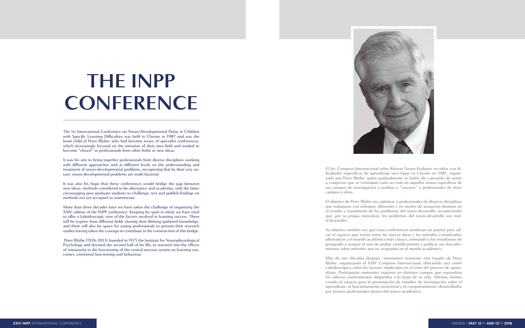El 1er. Congreso Internacional sobre Retraso Neuro-Evolutivo en niños con di ficultades específicas de aprendizaje tuvo lugar en Chester en 1987, organi zado por Peter Blythe, quien gradualmente se había ido cansando de asistir a congresos que se centraban cada vez más en aquellos temas específicos de sus campos de investigación y tendían a "cerrarse" a profesionales de otros campos o ideas.

El objetivo de Peter Blythe era aglutinar a profesionales de diversas disciplinas que trabajaran con enfoques diferentes y en niveles de actuación distintos en el estudio y tratamiento de los problemas del neuro-desarrollo, reconociendo que, por su propia naturaleza, los problemas del neuro-desarrollo son mul ti-factoriales.

Su objetivo también era que estas conferencias tendieran un puente para sal var el espacio que existía entre las nuevas ideas y los métodos considerados alternativos y el mundo académico más clásico, animando a los estudiantes de postgrado a aceptar el reto de probar científicamente y publicar sus descubri mientos sobre métodos aun no aceptados en el mundo académico.

Más de tres décadas después, intentamos mantener este legado de Peter Blythe, organizando el XXIV Congreso Internacional, ofreciendo una visión caleidoscópica sobre los factores implicados en el éxito del proceso de apren dizaje. Participarán eminentes expertos en distintos campos que expondrán los valiosos conocimientos adquiridos a lo largo de su vida. Además, hemos creado el espacio para la presentación de estudios de investigación sobre el aprendizaje, el funcionamiento emocional y el comportamiento, desarrollados por jóvenes profesionales dentro del marco académico.

The 1st International Conference on Neuro-Developmental Delay in Children with Specific Learning Difficulties was held in Chester in 1987 and was the brain child of Peter Blythe, who had become weary of specialist conferences, which increasingly focused on the minutiae of their own field and tended to become "closed" to professionals from other fields or new ideas.

It was his aim to bring together professionals from diverse disciplines working with different approaches and at different levels on the understanding and treatment of neuro-developmental problems, recognizing that by their very na ture, neuro-developmental problems are multi-factorial.

It was also his hope that these conferences would bridge the gap between new ideas, methods considered to be alternative and academia, with the latter encouraging post graduate students to challenge, test and publish findings on methods not yet accepted as mainstream.

More than three decades later we have taken the challenge of organizing the XXIV edition of the INPP conference. Keeping his spirit in mind, we have tried to offer a kaleidoscopic view of the factors involved in learning success. There will be experts from different fields sharing their lifelong gathered knowledge, and there will also be space for young professionals to present their research studies having taken the courage to contribute in the construction of this bridge.

 Peter Blythe (1926-2013) founded in 1975 the Institute for Neurophysiological Psychology and devoted the second half of his life, to research into the effects of immaturity in the functioning of the central nervous system on learning out comes, emotional functioning and behaviour.



# **THE INPP CONFERENCE**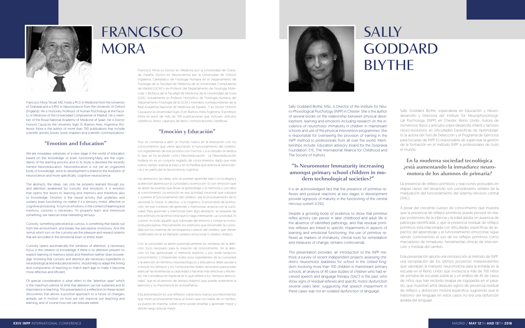

Francisco Mora Teruel, MD, holds a Ph.D in Medicine from the University of Granada and a D.Phil. in Neuroscience from the University of Oxford (England). He is Honorary Professor of Human Psychology at the Faculty of Medicine of the Universidad Complutense of Madrid. He is member of the Royal National Academy of Medicine of Spain. He is Doctor Honoris Causa by the University Siglo 21, Buenos Aires, Argentina. Professor Mora is the author of more than 700 publications that include scientific articles, books, book chapters and scientific communications.

#### **"Emotion and Education"**

We are nowadays witnesses of a new stage in the world of education based on the knowledge of brain functioning.Many are the ingredients of the learning process and to its study is devoted the recently named Neuroeducation. Neuroeducation is not yet an organized body of knowledge, since its development is linked to the evolution of neuroscience and more specifically, cognitive neuroscience.

The abstracts, the ideas, can only be properly learned through joy, and attention awakened by curiosity and emotions. It is emotion that opens the doors to learning and memory and therefore also to knowledge. Emotion is the neural activity that underlies and sustains brain functioning, no matter if it is sensory, motor, affective or cognitive processing. To turn on emotions, in the context of learning and memory, curiosity is necessary. To properly learn and memorize something, we need an initial interesting stimulus.

Curiosity, something perceived as curious, is something that stands out from the environment, and breaks the perceptive monotony. And the stimuli which turn on the curiosity are the pleasure and reward systems that are encoded in the emotional brain or limbic brain.

It is an acknowledged fact that the presence of primitive reflexes and postural reactions at key stages in development provide signposts of maturity in the functioning of the central nervous system (CNS).

Curiosity opens automatically the windows of attention, a necessary focus in the creation of knowledge. If there is no attention present no explicit learning or memory exists and therefore neither does knowledge. Knowing that curiosity and attention are necessary ingredients in neurobiological and educational terms, should help to adapt the timing and components of teaching to match each age to make it become more effective and efficient.

Of special consideration is what refers to the "attention span" which is the maximum period of time that attention can be sustained and its importance in teaching. This presentation is a reflection on these recent discoveries that allows a positive approach to a future of changes, already set in motion, on how we can improve our teaching and learning, and of course how we can educate better.

Sally Goddard Blythe, MSc, is Director of the Institute for Neuro-Physiological Psychology (INPP) in Chester. She is the author of several books on the relationship between physical development, learning and emotions including research on the incidence of neuromotor immaturity in children in mainstream schools and use of the physical intervention programmes. She is responsible for overseeing the provision of training in the INPP method to professionals from all over the world. Memberships include: Education advisory board for the Dyspraxia Foundation, EYE, The International Alliance for Childhood and The Society of Authors.

### **"Is Neuromotor Immaturity increasing amongst primary school children in modern technological societies?"**

Despite a growing body of evidence to show that primitive reflex activity can persist in later childhood and adult life in the absence of identified pathology, and that residual primitive reflexes are linked to specific impairments in aspects of learning and emotional functioning, the use of primitive reflexes as markers of immaturity, clinical tools for remediation and measures of change, remains controversial.

This presentation provides: an introduction to the INPP method; a survey of recent independent projects assessing children's neuromotor readiness for school in the United Kingdom involving more than 700 children in mainstream primary schools; an analysis of 45 case studies of children who had received speech and language therapy (SALT) in the past, who show signs of residual reflexes and specific motor dysfunction several years later, suggesting that speech impairment in these cases was not an isolated dysfunction of language.

## FRANCISCO **MORA**

## SALLY **GODDARD BIYTHE**

Francisco Mora es Doctor en Medicina por la Universidad de Granada, España, Doctor en Neurociencia por la Universidad de Oxford, Inglaterra, Catedrático de Fisiología Humana en el Departamento de Fisiología de la Facultad de Medicina de la Universidad Complutense de Madrid (UCM) y ex-Profesor del Departamento de Fisiología Molecular y Biofísica de la Facultad de Medicina de la Universidad de Iowa (USA). Actualmente es Profesor Honorífico de Fisiología Humana del Departamento Fisiología de la UCM y miembro correspondiente de la Real Academia Nacional de Medicina de España. Y es Doctor Honoris Causa por la Universidad Siglo 21 en Buenos Aires Argentina. El profesor Mora es autor de más de 700 publicaciones que incluyen, artículos científicos, libros, capítulos de libros, comunicaciones científicas.

#### **"Emoción y Educación"**

Hoy se comienza a abrir un mundo nuevo en la educación con los conocimientos que viene aportando el funcionamiento del cerebro. Los ingredientes de ese proceso son muchos y a su estudio se dedica lo que se ha acuñado como Neuroeducación. La Neuroeducación todavía no es un conjunto reglado de conocimientos dado que este nuevo campo avanza al paso y en la medida que avanza la neurociencia y en particular la neurociencia cognitiva.

Los abstractos, las ideas, solo se pueden aprender bien con la alegría y la atención abierta por la curiosidad y la emoción. Es con emoción que se abren las puertas que llevan al aprendizaje y la memoria y con ellos al conocimiento. La emoción es esa actividad neuronal que subyace y sostiene el funcionamiento del cerebro, sea el procesamiento de lo sensorial, lo motor, lo afectivo o lo cognitivo. El encendido de la emoción, en ese contexto de aprender y memorizar, arranca con la curiosidad. Para aprender y memorizar bien algo abstracto, se requiere de ese estímulo inicial emocional que lo haga interesante. La curiosidad, lo curioso, es todo aquello que sobresale del entorno y rompe la monotonía perceptiva. Precisamente, los estímulos que encienden la curiosidad son los sistemas de recompensa o placer del cerebro que vienen codificados en el así llamado cerebro emocional o cerebro límbico.

Con la curiosidad se abren automáticamente las ventanas de la atención, foco necesario para la creación de conocimiento. Sin la atención no hay aprendizaje ni memoria explícito y por ende tampoco conocimiento. Comprender todos esos ingredientes de la curiosidad y la atención en términos neurobiológicos y educativos debe ayudar a conocer los tiempos y los componentes reales necesarios para poder adecuar las enseñanzas a cada edad y hacerlas más efectivas y eficientes. De consideración especial es lo que refiere a los "tiempos atencionales" que es el período de tiempo máximo que puede sostenerse la atención y su importancia en la enseñanza.

Esta presentación es una reflexión sobre esos nuevos acontecimientos que miran positivamente hacia un futuro que nos habla de un cambio, ya puesto en marcha, sobre cómo poder enseñar y aprender mejor y desde luego educar mejor.



Sally Goddard Blythe, especialista en Educación y Neurodesarrollo y Directora del Institute for Neurophysiolological Psychology (INPP) en Chester, Reino Unido. Autora de numerosos libros y artículos sobre desarrollo infantil y factores neuro-evolutivos en Dificultades Específicas de Aprendizaje. Es la autora del Test de Detección y el Programa de Ejercicios para Escuelas de INPP. Es responsable de supervisar la gestión de la formación en el método INPP a profesionales de todo

el mundo.

### **En la moderna sociedad tecnológica ¿está aumentando la inmadurez neuromotora de los alumnos de primaria?**

La presencia de reflejos primitivos y reacciones posturales en etapas claves del desarrollo son considerados señales de la maduración del funcionamiento del sistema nervioso central

(SNC).

A pesar del creciente cuerpo de conocimiento que muestra que la presencia de reflejos primitivos puede persistir en etapas posteriores de la infancia y la edad adulta, en ausencia de patología identificada, y que la presencia residual de reflejos primitivos esta relacionada con dificultades específicas de aspectos del aprendizaje y el funcionamiento emocional, sigue siendo controvertido el uso de los reflejos primitivos como marcadores de inmadurez, herramientas clínicas de intervención y medida del cambio.

Esta presentación aporta una introducción al método de INPP, una recopilación de los últimos proyectos independientes que valoraban la madurez neuromotora para la entrada en la escuela en el Reino Unido que involucra a más de 700 niños de primaria de escuelas públicas y un análisis de 45 de casos de niños que han recibido terapia de logopedia en el pasado, que muestran años después signos de presencia residual de reflejos y disfunción motora específica, sugiriendo que el trastorno del lenguaje en estos casos no era una disfunción aislada del lenguaje.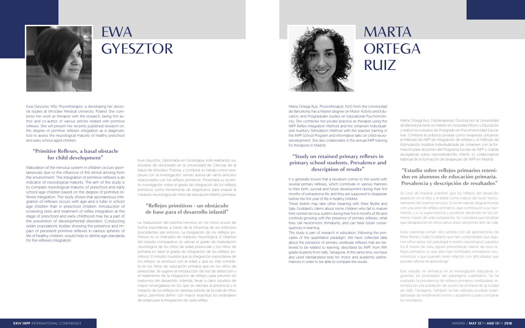

Ewa Gieysztor, MSc Physiotherapist, is developing her doctoral studies at Wroclaw Medical University, Poland. She combines her work as therapist with the research, being first author and co-author of various articles related with primitive reflexes. She will present her recently published research on: the degree of primitive reflexes integration as a diagnostic tool to assess the neurological maturity of healthy preschool and early school aged children.

#### **"Primitive Reflexes, a basal obstacle for child development"**

Maturation of the nervous system in children occurs spontaneously due to the influence of the stimuli arriving from the environment. The integration of primitive reflexes is an indicator of neurological maturity. The aim of the study is to compare neurological maturity of preschool and early school age children based on the degree of primitive reflexes integration. The study shows that spontaneous integration of reflexes occurs with age and is fuller in school age children than in preschool children. Introduction of screening tests and treatment of reflex integration at the stage of preschool and early childhood may be a part of the prevention of developmental disorders. Conducting wider populations studies showing the presence and impact of persistent primitive reflexes in various spheres of life of healthy children, would help to define age standards for the reflexes integration.

Marta Ortega Ruiz, Physiotherapist, Pd.D from the Universidad de Barcelona, has a Master degree on Motor Activity and Education, and Posgraduate studies on Educational Psychomotricity. She combines her private practice as therapist using the INPP Reflex Integration Method and the Johansen Individualized Auditory Stimulation Method with the teacher training in the INPP School Program and informative talks on child neurodevelopment. She also colaborates in the annual INPP training for therapists in Madrid.

#### **"Study on retained primary reflexes in primary school students. Prevalence and description of results"**

It is generally known that a newborn comes to the world with several primary reflexes, which contribute in various manners to their birth, survival and future development during their first months of extrauterine life, and they are supposed to disappear before the first year of life in healthy children.

These beliefs may take other meaning with Peter Blythe and Sally Goddard's claims about some children who fail to mature their central nervous system during their first 6 months of life and continue growing with the presence of primary reflexes, what they call neuromotor immaturity, and can have future consequences in learning.

This study is part of research in education, following the principles of the quantitative paradigm. We have collected data about the presence of primary vestibular reflexes that are believed to be related to learning, described by INPP, from fifth grade students from Valls, Tarragona. At the same time, we have also used standardized tests for motor and academic performances in order to be able to compare the results.

Ewa Gieysztor, Diplomada en Fisioterapia, está realizando sus estudios de doctorado en la Universidad de Ciencias de la Salud de Wrocław, Polonia, y combina su trabajo como terapeuta con la investigación, siendo autora de varios artículos relacionados con los reflejos primitivos. Presentará su reciente investigación sobre el grado de integración de los reflejos primitivos como herramienta de diagnóstico para evaluar la madurez neurológica de niños de educación infantil y primaria.

#### **"Reflejos primitivos - un obstáculo de base para el desarrollo infantil"**

La maduración del sistema nervioso en los niños ocurre de forma espontánea, a través de la influencia de los estímulos procedentes del entorno. La integración de los reflejos primitivos es un indicador de madurez neurológica. El objetivo del estudio comparativo es valorar el grado de maduración neurológica de los niños de edad preescolar y los niños de primaria en base al grado de integración de los reflejos primitivos. El estudio muestra que la integración espontánea de los reflejos se produce con la edad y que es más completa en los niños de educación primaria que en los niños de preescolar. Se sugiere la introducción de test de detección y el tratamiento de la integración de reflejos para prevenir los trastornos del desarrollo. Además, llevar a cabo estudios de mayor envergadura en los que se valorara la presencia y el impacto de los reflejos en distintas esferas de la vida de niños sanos, permitiría definir con mayor exactitud los estándares de edad para la integración de cada reflejo.



Marta Ortega Ruiz, Fisioterapeuta, Doctora por la Universidad de Barcelona tiene un Máster en Actividad Motriz y Educación y realizó los estudios de Postgrado en Psicomotricidad Educativa. Combina la práctica privada como terapeuta utilizando el Método de INPP de integración de reflejos y el Método de Estimulación Auditiva Individualizada de Johansen con la formación para docentes del Programa Escolar de INPP y charlas divulgativas sobre neurodesarrollo infantil. Es colaboradora habitual de la formación de terapeutas de INPP en Madrid.

### **"Estudio sobre reflejos primarios retenidos en alumnos de educación primaria. Prevalencia y descripción de resultados"**

Se cree de manera unánime que los reflejos del desarrollo aparecen en el feto y el bebé como indicio del buen funcionamiento del sistema nervioso. El recién nacido llega al mundo con una serie de reflejos primarios, que contribuyen a su nacimiento, y a su supervivencia y posterior desarrollo en los primeros meses de vida extrauterina. Se considera que tendrían que desaparecer en niños sanos antes del primer año de vida.

Estas creencias toman otro sentido con las aportaciones de Peter Blyhte y Sally Goddard, que han comprobado que algunos niños sanos (sin patología ni lesión neurológica), pasados los 6 meses de vida, siguen presentando rastros de esos reflejos primarios, lo que ellos han nombrado immadurez neuromotora, y que pueden tener relación con dificultades que pueden afectar el aprendizaje.

Este estudio se enmarca en la investigación educativa, siguiendo los postulados del paradigma cuantitativo. Se ha evaluado la prevalencia de reflejos primarios vestibulares retenidos en una población de quinto de primaria de la ciudad de Valls, Tarragona. También se han utilizado pruebas estandarizadas de rendimiento motor y académico para comparar los resultados.



### EWA GYESZTOR

## MARTA **ORTEGA** RUIZ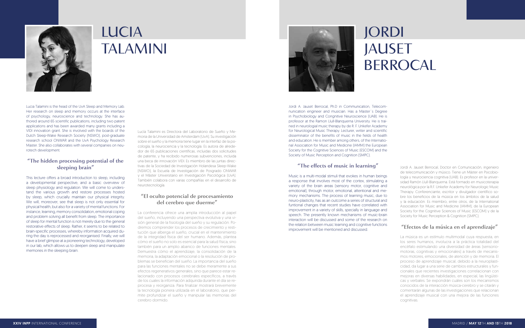Lucia Talamini is the head of the UvA Sleep and Memory Lab. Her research on sleep and memory occurs at the interface of psychology, neuroscience and technology. She has authored around 65 scientific publications, including two patent applications and has been awarded many grants including a VIDI innovation grant. She is involved with the boards of the Dutch Sleep-Wake Research Society (NSWO), post-graduate research school ONWAR and the UvA Psychology Research Master. She also collaborates with several companies on neurotech development.

#### **"The hidden processing potential of the sleeping brain"**

This lecture offers a broad introduction to sleep, including a developmental perspective, and a basic overview of sleep physiology and regulation. We will come to understand the various growth and restore processes hosted by sleep, which crucially maintain our physical integrity. We will, moreover, see that sleep is not only essential for physical health, but also for a variety of mental functions. For instance, learning, memory consolidation, emotional coping and problem solving all benefit from sleep. The importance of sleep for mental function is not merely due to the general restorative effects of sleep. Rather, it seems to be related to brain-specific processes, whereby information acquired during the day is reprocessed and reorganised. Finally, we will have a brief glimpse at a pioneering technology, developed in our lab, which allows us to deepen sleep and manipulate memories in the sleeping brain.

Jordi A. Jauset Berrocal, Ph.D in Communication, Telecomnunication engineer and musician. Has a Master´s Degree in Psychobiology and Congnitive Neuroscience (UAB). He is professor at the Ramon Llull-Blanquerna University. He is trained in neurologial music therapy by de R. F. Unkefer Academy for Neurological Music Therapy. Lecturer, writer and scientific disseminator of the benefits of music in the fields of health and education. He is member among others, of the International Association for Music and Medicine (IAMM) the European Society for the Cognitive Sciences of Music (ESCOM) and the Society of Music Perception and Cognition (SMPC).

#### **"The effects of music in learning"**

Music is a multi-modal stimuli that evokes in human beings a response that involves most of the cortex, stimulating a variety of the brain areas (sensory motor, cognitive and emotional), through motor, emotional, attentional and memory mechanisms. The process of learning music, due to neuro-plasticity, has as an outcome a series of structural and funtional changes that recent studies have correlated with improvement in a variety of skills, specially in language and speech. The presently known mechanisms of music-brain interaction will be discussed and some of the research on the relation between music learning and cognitive functions improvement will be mentioned and discussed.



### LUCIA **TALAMINI**

## JORDI JAUSET **BERROCAL**

Lucía Talamini es Directora del Laboratorio de Sueño y Memoria de la Universidad de Amsterdam (UvA). Su investigación sobre el sueño y la memoria tiene lugar en la interfaz de la psicología, la neurociencia y la tecnología. Es autora de alrededor de 65 publicaciones científicas, incluidas dos solicitudes de patente, y ha recibido numerosas subvenciones, incluida una beca de innovación VIDI. Es miembro de las juntas directivas de la Sociedad de Investigación Holandesa Sleep-Wake (NSWO), la Escuela de Investigación de Posgrado ONWAR y el Máster Universitario en Investigación Psicológica (UvA). También colabora con varias compañías en el desarrollo de neurotecnología.

#### **"El oculto potencial de procesamiento del cerebro que duerme"**

La conferencia ofrece una amplia introducción al papel del sueño, incluyendo una perspectiva evolutiva y una visión general de la fisiología del sueño y su regulación. Podremos comprender los procesos de crecimiento y restitución que alberga el sueño, crucial en el mantenimiento de la integridad física del ser humano. Además, plantea cómo el sueño no solo es esencial para la salud física, sino también para un amplio abanico de funciones mentales. Demuestra cómo el aprendizaje, la consolidación de la memoria, la adaptación emocional o la resolución de problemas se benefician del sueño. La importancia del sueño para las funciones mentales no se debe meramente a sus efectos regenerativos generales, sino que parece estar relacionado con procesos cerebrales específicos, a través de los cuales la información adquirida durante el día se reprocesa y reorganiza. Para finalizar mostrará brevemente la tecnología pionera utilizada en el laboratorio, que permite profundizar el sueño y manipular las memorias del cerebro dormido.



Jordi A. Jauset Berrocal, Doctor en Comunicación, ingeniero de telecomunicación y músico. Tiene un Máster en Psicobiología y neurociencia cognitiva (UAB). Es profesor en la universidad Ramón Llull-Blanquerna. Está formado en musicoterapia neurológica por la R.F. Unkefer Academy for Neurologic Music Therapy. Conferenciante, escritor y divulgador científico sobre los beneficios de la música en los ámbitos de la salud y la educación. Es miembro, entre otros, de la International Association for Music and Medicine (IAMM), de la European Society for the Cognitive Sciences of Music (ESCOM) y de la Society for Music Perception & Cognition (SMPC).

### **"Efectos de la música en el aprendizaje"**

La música es un estímulo multimodal cuya respuesta, en los seres humanos, involucra a la práctica totalidad del encéfalo estimulando una diversidad de áreas (sensoriomotoras, cognitivas y emocionales) a través de mecanismos motores, emocionales, de atención y de memoria. El proceso de aprendizaje musical, debido a la neuroplasticidad, da lugar a una serie de cambios estructurales y funcionales que recientes investigaciones correlacionan con mejoras en diversas habilidades, en especial, las lingüísticas y verbales. Se expondrán cuáles son los mecanismos conocidos de la interacción música-cerebro y se citarán y comentarán algunas de las investigaciones que relacionan el aprendizaje musical con una mejora de las funciones cognitivas.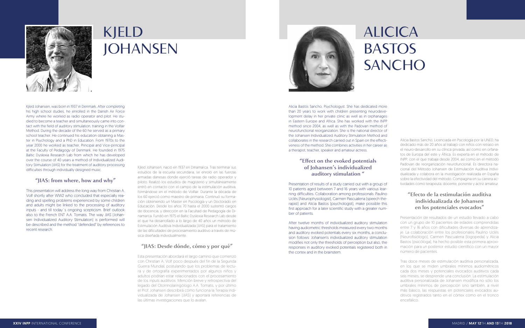Kjled Johansen, was born in 1937 in Denmark. After completing his high school studies, he enrolled in the Danish Air Force Army where he worked as radio operator and pilot. He studied to become a teacher and simultaneously came into contact with the field of auditory stimulation, training in the Volfair Method. During the decade of the 60 he served as a primary school teacher. He continued his education obtaining a Master in Psychology and a PhD in Education. From 1970s to the year 2000 he worked as teacher, Principal and Vice-principal at the Faculty of Pedagogy of Denmark. He founded in 1975 Baltic Dyslexia Research Lab from which he has developed over the course of 40 years a method of Individualized Auditory Stimulation (JIAS) for the treatment of auditory processing difficulties through individually designed music.

#### **"JIAS: from where, how and why"**

This presentation will address the long way from Christian A. Volf shortly after WW2 who concluded that especially reading and spelling problems experienced by some children and adults might be linked to the processing of auditory inputs - and till today´s ongoing scepticism. Brief outlook also to the French ENT A.A. Tomatis. The way JIAS (Johansen Individualized Auditory Stimulation) is performed will be described and the method "defended" by references to recent research.

Alicia Bastos Sancho, Psychologyst. She has dedicated more than 20 years to work with children presenting neurodevelopment delay in her private clinic as well as in orphanages in Eastern Europe and Africa. She has worked with the INPP method since 2004, as well as with the Padovan method of neurofunctional reorganization. She is the national director of the Johansen Individualized Auditory Stimulation Method and collaborates in the research carried out in Spain on the effectiveness of the method. She combines activities in her career as a therapist, teacher, speaker and amateur actress.

#### **"Effect on the evoked potentials of Johansen's individualized auditory stimulation "**

Presentation of results of a study carried out with a group of 10 patients aged between 7 and 16 years with various learning difficulties. Collaboration among professionals: Paulino Uclés (Neurophysiologist), Carmen Pascualena (speech therapist) and Alicia Bastos (psychologist), make possible this first approach for a later scientific study with a greater number of patients.

After twelve months of individualized auditory stimulation having audiometric thresholds measured every two months and auditory evoked potentials every six months, a conclusion follows: Johansen's individualized auditory stimulation modifies not only the thresholds of perception but also, the responses in auditory evoked potentials registered both in the cortex and in the brainstem.



### KJELD **JOHANSEN**

## ALICICA BASTOS **SANCHO**

Kjled Johansen, nació en 1937 en Dinamarca. Tras terminar sus estudios de la escuela secundaria, se enroló en las fuerzas armadas danesas donde ejerció tareas de radio operador y piloto. Realizó los estudios de magisterio y simultáneamente entró en contacto con el campo de la estimulación auditiva, formándose en el método de Volfair. Durante la década de los 60 ejerció como maestro de primaria. Continuó su formación obteniendo un Master en Psicología y un Doctorado en Educación. Desde los años 70 hasta el 2000 sustentó cargos de docencia, y dirección en la Facultad de Pedagogía de Dinamarca. Fundó en 1975 el Baltic Dyslexia Research Lab desde el que ha desarrollado a lo largo de 40 años un método de Estimulación Auditiva Individualizada (JIAS) para el tratamiento de las dificultades de procesamiento auditivo a través de música diseñada individualmente.

#### **"JIAS: Desde dónde, cómo y por qué"**

Esta presentación abordará el largo camino que comenzó con Christian A. Volf poco después del fin de la Segunda Guerra Mundial, postulando que los problemas de lectura y de ortografía experimentados por algunos niños y adultos podrían estar relacionados con el procesamiento de los inputs auditivos. Mención breve y retrospectiva del legado del Otorrinolaringólogo A.A. Tomatis, y por último el Prof. Johansen describirá cómo funciona la Terapia Individualizada de Johansen (JIAS) y aportará referencias de las últimas investigaciones que lo avalan.



Alicia Bastos Sancho, Licenciada en Psicología por la UNED, ha dedicado más de 20 años al trabajo con niños con retraso en el neuro-desarrollo en su clínica privada, así como en orfanatos de Europa del este y África. Es experta en el método de INPP, con el que trabaja desde 2004, así como en el método Padovan de reorganización neurofuncional. Es directora nacional del Método Johansen de Estimulación Auditiva Individualizada y colabora en la investigación realizada en España sobre la efectividad del método. Compagina en su carrera actividades como terapeuta, docente, ponente y actriz amateur.

### **"Efecto de la estimulación auditiva individualizada de Johansen en los potenciales evocados"**

Presentación de resultados de un estudio llevado a cabo con un grupo de 10 pacientes de edades comprendidas entre 7 y 16 años con dificultades diversas de aprendizaje. La colaboración entre los profesionales Paulino Uclés (Neurofisiólogo), Carmen Pascualena (logopeda) y Alicia Bastos (psicóloga), ha hecho posible esta primera aproximación para un posterior estudio científico con un mayor número de pacientes.

Tras doce meses de estimulación auditiva personalizada, en los que se miden umbrales mínimos audiométricos cada dos meses y potenciales evocados auditivos cada seis meses, se desprende una conclusión: La estimulación auditiva personalizada de Johansen modifica no sólo los umbrales mínimos de percepción sino también, a nivel más básico, las respuestas en potenciales evocados auditivos registrados tanto en el córtex como en el tronco encefálico.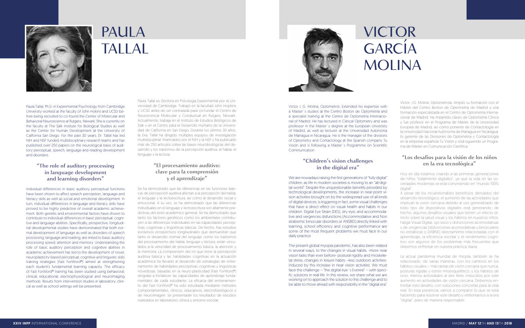Victor J. G. Molina, Optometrist. Extended his expertise with a Master´s studies at the Centro Boston de Optometría and a specialist training at the Centro de Optometría Internacional of Madrid. He has lectured in Clinical Optometry and was professor in the Master´s degree at the European University of Madrid, as well as lecturer at the Universidad Autonoma de Managua in Nicaragua. He is the manager of the divisions of Optometry and Contactology at the Spanish company Tu Visión and is following a Master´s Programme on Scientific **Communication** 



#### **"Children's vision challenges in the digital era"**

We are nowadays raising the first generations of "fully digital" children, as life in modern societies is moving to an "all-digital world". Despite the unquestionable benefits provided by technological developments, the increase in near-point vision activities brought on by the widespread use of all kinds of digital devices, is triggering in fact, some visual challenges that have a direct effect on visual health and habits in our children. Digital Eye Strain (DES), dry eye, and accommodative and vergences disfunctions (Accommodative and Non strabismic binocular disorders or ANSBD) directly linked with learning, school efficiency and cognitive performance are some of the most frequent problems we must face in our daily practice.

The present global myopia pandemic, has also been related in several ways, to the changes in visual habits, -more near vision tasks than ever before- postural rigidity and mioskeletal stress; changes in leisure habits –less outdoors activitiesinduced by this increase in near vision activities. We must face this challenge – "the digital eye´s Everest" – with specific solutions in real life. In this review, we share what we are working on to approach the solution to this challenge and to be able to move ahead with responsibility in the "digital era".

Victor. J.G. Molina, Optometrista. Amplió su formación con el Máster del Centro Boston de Optometría de Madrid y una formación especializada en el Centro de Optometría Internacional de Madrid. Ha impartido clases de Optometría Clínica y fue profesor en el Programa de Máster de la Universidad Europea de Madrid, así como ponente de Contactología en la Universidad Nacional Autónoma de Managua en Nicaragua. Es gerente de las Divisiones de Optometría y Contactología en la empresa española Tu Visión y está siguiendo un Programa de Máster en Comunicación Científica.

#### **"Los desafíos para la visión de los niños en la era tecnológica"**

Hoy en día estamos criando a las primeras generaciones de niños "totalmente digitales", ya que la vida en las sociedades modernas se está convirtiendo en "mundo 100%

digital".

A pesar de los incuestionables beneficios derivados del desarrollo tecnológico, el aumento de las actividades que implican la visión cercana debido al uso generalizado de todo tipo de dispositivos digitales está generando, de hecho, algunos desafíos visuales que tienen un efecto directo sobre la salud visual y los hábitos en nuestros niños. Fatiga Visual Digital, ojo seco y disfunciones acomodativas y de vergencias (disfunciones acomodativas y binoculares no estrábicas o DABNE) directamente relacionadas con el aprendizaje, la eficiencia escolar y el rendimiento cognitivo son algunos de los problemas más frecuentes que debemos enfrentar en nuestra práctica diaria.

La actual pandemia mundial de miopía, también se ha relacionado, de varias maneras, con los cambios en los hábitos visuales – más tareas de visión cercana que nunca, posturas rígidas y estrés mioesquelético, y los hábitos de ocio, menos actividades al aire libre, inducidos por este aumento en actividades de visión cercana. Debemos enfrentar este desafío, con soluciones concretas para la vida real. En esta ponencia, vamos a compartir lo que se está haciendo para resolver este desafío y enfrentarnos a la era "digital", pero de manera responsable.

## VICTOR **GARCIA** MOLINA



### PAULA TALLAL

Paula Tallal, Ph.D. in Experimental Psychology from Cambridge University worked at the faculty of John Hokins and UCSD before being recruited to co-found the Center of Molecular and Behavioral Neuroscience at Rutgers, Newark. She is currently on the faculty at The Salk Institute for Biological Studies as well as the Center for Human Development at the University of California San Diego. For the past 30 years, Dr. Tallal has led NIH and NSF funded multidisciplinary research teams and has published over 250 papers on the neurological basis of auditory perceptual, speech, language and reading development and disorders.

#### **"The role of auditory processing in language development and learning disorders"**

Individual differences in basic auditory perceptual functions have been shown to affect speech perception, language and literacy skills as well as social and emotional development. In turn, individual differences in language and literacy skills have proved to be highly predictive of overall academic achievement. Both genetic and environmental factors have shown to contribute to individual differences in basic perceptual, cognitive and language abilities. Specifically, prospective, longitudinal developmental studies have demonstrated that both normal development of language as well as disorders of speech processing, language and reading, are linked to basic auditory processing speed, attention and memory. Understanding the role of basic auditory perception and cognitive abilities in academic achievement has led to the development of novel, neuroplasticity-based perceptual, cognitive and linguistic skills training strategies (Fast ForWord®) aimed at strengthening each student's fundamental learning capacity. The efficacy of Fast ForWord® training has been studied using behavioral, clinical, educational, electrophysiological and neuroimaging methods. Results from intervention studies in laboratory, clinical as well as school settings will be presented.

Paula Tallal es Doctora en Psicología Experimental por la Universidad de Cambridge. Trabajó en la facultad John Hopkins y UCSD antes de ser contratada para co-fundar el Centro de Neurociencia Molecular y Conductual en Rutgers, Newark. Actualmente, trabaja en el Instituto de Estudios Biológicos de Salk y en el Centro para el Desarrollo Humano de la Universidad de California en San Diego. Durante los últimos 30 años, la Dra. Tallal ha dirigido múltiples equipos de investigación multidisciplinar financiados por el NIH y la NSF y ha publicado más de 250 artículos sobre las bases neurobiológicas del desarrollo y los trastornos de la percepción auditiva, el habla, el lenguaje y la lectura.

#### **"El procesamiento auditivo: clave para la comprensión y el aprendizaje"**

Se ha demostrado que las diferencias en las funciones básicas de percepción auditiva afectan a la percepción del habla, el lenguaje y la lectoescritura, así como al desarrollo social y emocional. A su vez, se ha demostrado que las diferencias individuales en el lenguaje y lectoescritura son altamente predictivas del éxito académico general. Se ha demostrado que tanto los factores genéticos como los ambientales contribuyen a las diferencias individuales en las capacidades perceptivas, cognitivas y lingüísticas básicas. De hecho, hay estudios evolutivos prospectivos longitudinales que demuestran que tanto el desarrollo normal del lenguaje como los trastornos del procesamiento del habla, lenguaje y lectura, están vinculados a la velocidad de procesamiento básica, la atención y la memoria. La comprensión del rol que tiene la percepción auditiva básica y las habilidades cognitivas en la actuación académica ha llevado al desarrollo de estrategias de entrenamiento de habilidades perceptivas, cognitivas y lingüísticas novedosas, basadas en la neuro-plasticidad (Fast ForWord®) dirigidas a fortalecer las capacidades de aprendizaje fundamentales de cada estudiante. La eficacia del entrenamiento del Fast ForWord® ha sido estudiada mediante métodos comportamentales, clínicos, educativos, electrofisiológicos y de neuroimagen. Se presentarán los resultados de estudios realizados en laboratorio, clínica y entorno escolar.

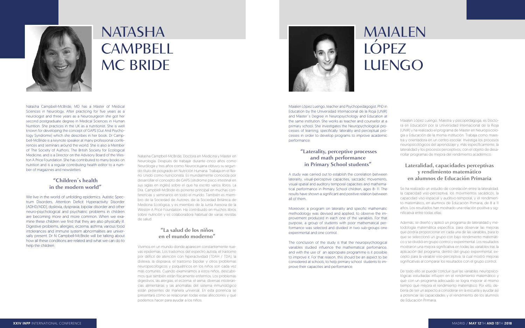Maialen López Luengo, teacher and Psychopedagogist. PhD in Education by the Universidad Internacional de la Rioja (UNIR) and Master´s Degree in Neuropsychology and Education at the same institution. She works as teacher and counselor at a primary school. She investigates the Neuropychological processes of learning, specifically: laterality and perceptual processes in order to develop programs to improve academic performance.

#### **"Laterality, perceptive processes and math performance in Primary School students"**

A study was carried out to establish the correlation between laterality, visual-perceptive capacities, saccadic movements, visual-spatial and auditory temporal capacities and mathematical performance in Primary School children, ages 8- 11. The results have shown a significant and positive relation between all of them.

Moreover, a program on laterality and specific mathematic methodology was devised and applied, to observe the improvement produced in each one of the variables. For that purpose, a group of students with poor mathematical performance was selected and divided in two sub-groups one experimental and one control.

The conclusion of the study is that the neuropsychological variables studied influence the mathematical perfomance, and with the use of an appropiate programme is it possible to improve it. For that reason, this should be an aspect to be considered at schools, to help primary school students to improve their capacities and performance.

## MAIALEN LÓPEZ **LUENGO**

Maialen López Luengo, Maestra y psicopedagoga, es Doctora en Educación por la Universidad Internacional de la Rioja (UNIR) y ha realizado el programa de Master en Neuropsicología y Educación de la misma institución. Trabaja como maestra y orientadora en un centro escolar. Investiga los procesos neuropsicológicos del aprendizaje y, más específicamente, la lateralidad y los procesos perceptivos, con el objeto de desarrollar programas de mejora del rendimiento académico.

### **Lateralidad, capacidades perceptivas y rendimiento matemático en alumnos de Educación Primaria**

We live in the world of unfolding epidemics. Autistic Spectrum Disorders, Attention Deficit Hyperactivity Disorder (ADHD/ADD), dyslexia, dyspraxia, bipolar disorder and other neuro-psychological and psychiatric problems in children are becoming more and more common. When we examine these children we find that they are also physically ill. Digestive problems, allergies, eczema, asthma, various food intolerances and immune system abnormalities are universally present. Dr N Campbell-McBride will be talking about how all these conditions are related and what we can do to help the children.

Se ha realizado un estudio de correlación entre la lateralidad, la capacidad viso-perceptiva, los movimientos sacádicos, la capacidad viso-espacial y auditivo-temporal, y el rendimiento matemático, en alumnos de Educación Primaria, de 8 a 11 años. Los resultados han mostrado una relación positiva y significativa entre todas ellas.

Además, se diseñó y aplicó un programa de lateralidad y metodología matemática específica, para observar las mejoras que podría proporcionar en cada una de las variables, para lo que se seleccionó un grupo con bajo rendimiento matemático y se dividió en grupo control y experimental. Los resultados mostraron una mejora significativa en todas las variables tras la aplicación del programa, dentro del grupo experimental, excepto para la variable viso-perceptiva, la cual mostró mejoras significativas al comparar los resultados con el grupo control.

De todo ello se puede concluir que las variables neuropsicológicas estudiadas influyen en el rendimiento matemático y que con un programa adecuado se logra mejorar al mismo tiempo que mejora el rendimiento matemático. Por ello, debería de ser un aspecto a considerar en la escuela y ayudar así a potenciar las capacidades y el rendimiento de los alumnos de Educación Primaria.

Natasha Campbell-McBride, MD has a Master of Medical Sciences in Neurology, After practicing for five years as a neurologist and three years as a Neurosurgeon she got her second postgraduate degree in Medical Sciences in Human Nutrition. She practices in the UK as a nutritionist. She is well known for developing the concept of GAPS (Gut And Psychology Syndrome) which she describes in her book. Dr Campbell-McBride is a keynote speaker at many professional conferences and seminars around the world. She is also a Member of The Society of Authors, The British Society for Ecological Medicine, and is a Director on the Advisory Board of the Weston A Price Foundation. She has contributed to many books on nutrition and is a regular contributing health editor to a number of magazines and newsletters.

#### **"Children´s health in the modern world"**

Natasha Campbell-McBride, Doctora en Medicina y Master en Neurología. Después de trabajar durante cinco años como Neuróloga y tres años como Neurocirujana obtuvo su segundo título de posgrado en Nutrición Humana. Trabaja en el Reino Unido como nutricionista. Es mundialmente conocida por desarrollar el concepto de GAPS (síndrome psico intestinal en sus siglas en inglés) sobre el que ha escrito varios libros. La Dra. Campbell-McBride es ponente principal en muchas conferencias y seminarios en todo el mundo. También es miembro de la Sociedad de Autores, de la Sociedad Británica de Medicina Ecológica, y es miembro de la Junta Asesora de la Weston A Price Foundation. Ha contribuido en muchos libros sobre nutrición y es colaboradora habitual de varias revistas de salud.

#### **"La salud de los niños en el mundo moderno"**

Vivimos en un mundo donde aparecen constantemente nuevas epidemias. Los trastornos del espectro autista, el trastorno por déficit de atención con hiperactividad (TDAH / TDA), la dislexia, la dispraxia, el trastorno bipolar y otros problemas neuropsicológicos y psiquiátricos en los niños son cada vez más comunes. Cuando examinamos a estos niños, descubrimos que también están físicamente enfermos. Los problemas digestivos, las alergias, el eczema, el asma, diversas intolerancias alimentarias y las anomalías del sistema inmunológico están presentes de manera universal. En esta ponencia se presentará cómo se relacionan todas estas afecciones y qué podemos hacer para ayudar a los niños.





## NATASHA **CAMPBELL** MC BRIDE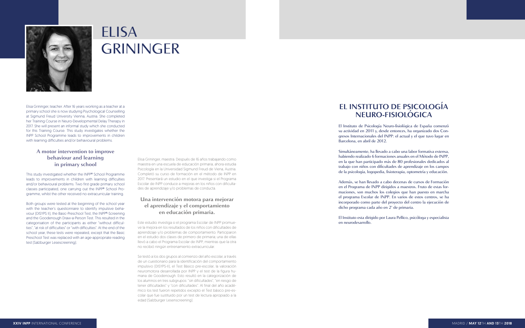Elisa Grininger, teacher. After 16 years working as a teacher at a primary school she is now studying Psychological Counselling at Sigmund Freud University Vienna, Austria. She completed her Training Course in Neuro-Developmental Delay Therapy in 2017. She will present an informal study which she conducted for this Training Course. This study investigates whether the INPP School Programme leads to improvements in children with learning difficulties and/or behavioural problems.

#### **A motor intervention to improve behaviour and learning in primary school**

This study investigated whether the INPP® School Programme leads to improvements in children with learning difficulties and/or behavioural problems. Two first grade primary school classes participated, one carrying out the INPP® School Programme, whilst the other received no extracurricular training.

Both groups were tested at the beginning of the school year with the teacher's questionnaire to identify impulsive behaviour (DISYPS II), the Basic-Preschool Test, the INPP®-Screening and the Goodenough Draw-a-Person Test. This resulted in the categorisation of the participants as either "without difficulties", "at risk of difficulties" or "with difficulties". At the end of the school year, these tests were repeated, except that the Basic Preschool Test was replaced with an age-appropriate reading test (Salzburger Lesescreening).



### ELISA **GRININGER**

Elisa Grininger, maestra. Después de 16 años trabajando como maestra en una escuela de educación primaria, ahora estudia Psicología en la Universidad Sigmund Freud de Viena, Austria. Completó su curso de formación en el método de INPP en 2017. Presentará un estudio en el que investiga si el Programa Escolar de INPP conduce a mejoras en los niños con dificultades de aprendizaje y/o problemas de conducta.

#### **Una intervención motora para mejorar el aprendizaje y el comportamiento en educación primaria.**

Este estudio investiga si el programa Escolar de INPP promueve la mejora en los resultados de los niños con dificultades de aprendizaje y/o problemas de comportamiento. Participaron en el estudio dos clases de primero de primaria; una de ellas llevó a cabo el Programa Escolar de INPP, mientras que la otra no recibió ningún entrenamiento extracurricular.

Se testó a los dos grupos al comienzo del año escolar, a través de un cuestionario para la identificación del comportamiento impulsivo (DISYPS-II), el Test Básico pre-escolar, la valoración neuromotora desarrollada por INPP y el test de la figura humana de Goodenough. Esto resultó en la categorización de los alumnos en tres subgrupos: "sin dificultades", "en riesgo de tener dificultades" y "con dificultades". Al final del año académico los test fueron repetidos excepto el Test básico pre-escolar que fue sustituido por un test de lectura apropiado a la edad (Salzburger Lesenscreening).

### **EL INSTITUTO DE PSICOLOGÍA NEURO-FISIOLÓGICA**

El Instituto de Psicología Neuro-fisiológica de España comenzó su actividad en 2011 y, desde entonces, ha organizado dos Congresos Internacionales del INPP: el actual y el que tuvo lugar en Barcelona, en abril de 2012.

Simultáneamente, ha llevado a cabo una labor formativa extensa, habiendo realizado 6 formaciones anuales en el Método de INPP, en la que han participado más de 80 profesionales dedicados al trabajo con niños con dificultades de aprendizaje en los campos de la psicología, logopedia, fisioterapia, optometría y educación.

Además, se han llevado a cabo decenas de cursos de Formación en el Programa de INPP dirigidos a maestros. Fruto de estas formaciones, son muchos los colegios que han puesto en marcha el programa Escolar de INPP. En varios de estos centros, se ha incorporado como parte del proyecto del centro la ejecución de dicho programa cada año en 2º de primaria.

El Instituto esta dirigido por Laura Pellico, psicóloga y especialista en neurodesarrollo.